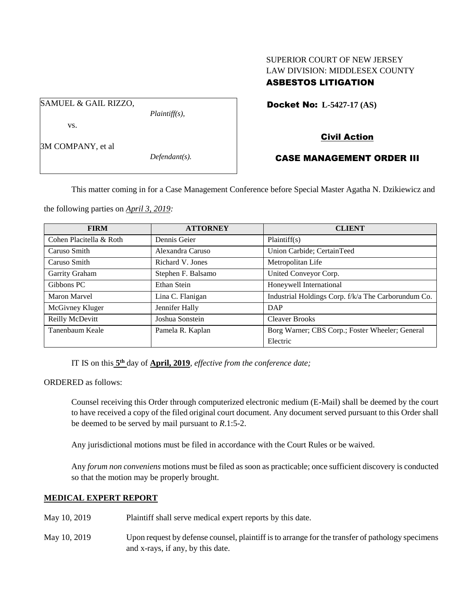# SUPERIOR COURT OF NEW JERSEY LAW DIVISION: MIDDLESEX COUNTY ASBESTOS LITIGATION

SAMUEL & GAIL RIZZO,

*Plaintiff(s),*

Docket No: **L-5427-17 (AS)** 

3M COMPANY, et al

vs.

*Defendant(s).*

## CASE MANAGEMENT ORDER III

Civil Action

This matter coming in for a Case Management Conference before Special Master Agatha N. Dzikiewicz and

the following parties on *April 3, 2019:*

| <b>FIRM</b>             | <b>ATTORNEY</b>    | <b>CLIENT</b>                                       |
|-------------------------|--------------------|-----------------------------------------------------|
| Cohen Placitella & Roth | Dennis Geier       | Plaintiff(s)                                        |
| Caruso Smith            | Alexandra Caruso   | Union Carbide; CertainTeed                          |
| Caruso Smith            | Richard V. Jones   | Metropolitan Life                                   |
| Garrity Graham          | Stephen F. Balsamo | United Conveyor Corp.                               |
| Gibbons PC              | Ethan Stein        | Honeywell International                             |
| Maron Marvel            | Lina C. Flanigan   | Industrial Holdings Corp. f/k/a The Carborundum Co. |
| McGivney Kluger         | Jennifer Hally     | <b>DAP</b>                                          |
| Reilly McDevitt         | Joshua Sonstein    | <b>Cleaver Brooks</b>                               |
| Tanenbaum Keale         | Pamela R. Kaplan   | Borg Warner; CBS Corp.; Foster Wheeler; General     |
|                         |                    | Electric                                            |

IT IS on this **5 th** day of **April, 2019**, *effective from the conference date;*

ORDERED as follows:

Counsel receiving this Order through computerized electronic medium (E-Mail) shall be deemed by the court to have received a copy of the filed original court document. Any document served pursuant to this Order shall be deemed to be served by mail pursuant to *R*.1:5-2.

Any jurisdictional motions must be filed in accordance with the Court Rules or be waived.

Any *forum non conveniens* motions must be filed as soon as practicable; once sufficient discovery is conducted so that the motion may be properly brought.

## **MEDICAL EXPERT REPORT**

- May 10, 2019 Plaintiff shall serve medical expert reports by this date.
- May 10, 2019 Upon request by defense counsel, plaintiff is to arrange for the transfer of pathology specimens and x-rays, if any, by this date.